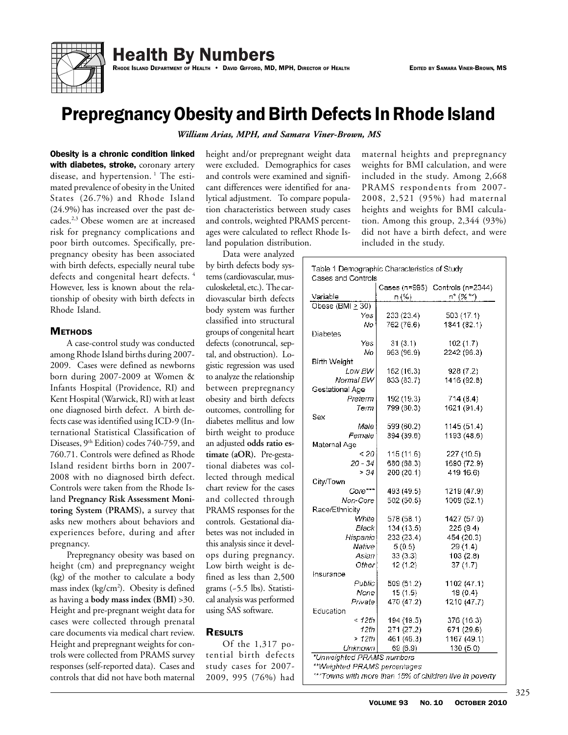

**Health By Numbers** 

RHODE ISLAND DEPARTMENT OF HEALTH • DAVID GIFFORD, MD, MPH, DIRECTOR OF HEALTH EDITED BY SAMARA VINER-BROWN, MS

# Prepregnancy Obesity and Birth Defects In Rhode Island

*William Arias, MPH, and Samara Viner-Brown, MS*

Obesity is a chronic condition linked with diabetes, stroke, coronary artery disease, and hypertension.<sup>1</sup> The estimated prevalence of obesity in the United States (26.7%) and Rhode Island (24.9%) has increased over the past decades.2,3 Obese women are at increased risk for pregnancy complications and poor birth outcomes. Specifically, prepregnancy obesity has been associated with birth defects, especially neural tube defects and congenital heart defects.<sup>4</sup> However, less is known about the relationship of obesity with birth defects in Rhode Island.

## **METHODS**

A case-control study was conducted among Rhode Island births during 2007- 2009. Cases were defined as newborns born during 2007-2009 at Women & Infants Hospital (Providence, RI) and Kent Hospital (Warwick, RI) with at least one diagnosed birth defect. A birth defects case was identified using ICD-9 (International Statistical Classification of Diseases, 9<sup>th</sup> Edition) codes 740-759, and 760.71. Controls were defined as Rhode Island resident births born in 2007- 2008 with no diagnosed birth defect. Controls were taken from the Rhode Island **Pregnancy Risk Assessment Monitoring System (PRAMS),** a survey that asks new mothers about behaviors and experiences before, during and after pregnancy.

Prepregnancy obesity was based on height (cm) and prepregnancy weight (kg) of the mother to calculate a body mass index (kg/cm<sup>2</sup>). Obesity is defined as having a **body mass index (BMI)** >30. Height and pre-pregnant weight data for cases were collected through prenatal care documents via medical chart review. Height and prepregnant weights for controls were collected from PRAMS survey responses (self-reported data). Cases and controls that did not have both maternal

height and/or prepregnant weight data were excluded. Demographics for cases and controls were examined and significant differences were identified for analytical adjustment. To compare population characteristics between study cases and controls, weighted PRAMS percentages were calculated to reflect Rhode Island population distribution.

Data were analyzed by birth defects body systems (cardiovascular, musculoskeletal, etc.). The cardiovascular birth defects body system was further classified into structural groups of congenital heart defects (conotruncal, septal, and obstruction). Logistic regression was used to analyze the relationship between prepregnancy obesity and birth defects outcomes, controlling for diabetes mellitus and low birth weight to produce an adjusted **odds ratio estimate (aOR).** Pre-gestational diabetes was collected through medical chart review for the cases and collected through PRAMS responses for the controls. Gestational diabetes was not included in this analysis since it develops during pregnancy. Low birth weight is defined as less than 2,500 grams (~5.5 lbs). Statistical analysis was performed using SAS software.

### **RESULTS**

Of the 1,317 potential birth defects study cases for 2007- 2009, 995 (76%) had

maternal heights and prepregnancy weights for BMI calculation, and were included in the study. Among 2,668 PRAMS respondents from 2007- 2008, 2,521 (95%) had maternal heights and weights for BMI calculation. Among this group, 2,344 (93%) did not have a birth defect, and were included in the study.

|                       |            | Cases (n=995) Controls (n=2344) |
|-----------------------|------------|---------------------------------|
| Variable              | n (%) -    | $n^*(\%^{**})$                  |
| Obese $(BMI \geq 30)$ |            |                                 |
| Yes                   | 233 (23.4) | 503 (17.1)                      |
| No                    | 762 (76.6) | 1841 (82.1)                     |
| Diabetes              |            |                                 |
| Yes                   | 31(3.1)    | 102(1.7)                        |
| No                    | 963 (96.9) | 2242 (96.3)                     |
| <b>Birth Weight</b>   |            |                                 |
| Low BW                | 162 (16.3) | 928(7.2)                        |
| Normal BW             | 833 (83.7) | 1416 (92.8)                     |
| Gestational Age       |            |                                 |
| Preterm               | 192 (19.3) | 714(8.4)                        |
| Term                  | 799 (80.3) | 1621 (91.4)                     |
| Sex                   |            |                                 |
| Male I                | 599 (60.2) | 1145 (51.4)                     |
| Female                | 394 (39.6) | 1193 (48.6)                     |
| Maternal Age          |            |                                 |
| < 20                  | 115 (11.6) | 227 (10.5)                      |
| $20 - 34$             | 680 (68.3) | 1690 (72.9)                     |
| > 34                  | 200 (20.1) | 419 16.6)                       |
| City/Town             |            |                                 |
| Core***               | 493 (49.5) | 1219 (47.9)                     |
| Non-Core              | 502 (50.5) | 1009 (52.1)                     |
| Race/Ethnicity        |            |                                 |
| White                 | 578 (58.1) | 1427 (57.0)                     |
| Black                 | 134 (13.5) | 225(9.4)                        |
| Hispanic              | 233 (23.4) | 454 (20.3)                      |
| Native                | 5(0.5)     | 29 (1.4)                        |
| Asian                 | 33(3.3)    | 103(2.8)                        |
| Other                 | 12(1.2)    | 37(1.7)                         |
| Insurance             |            |                                 |
| Public                | 509 (51.2) | 1102 (47.1)                     |
| None                  | 15(1.5)    | 18(0.4)                         |
| Private               | 470 (47.2) | 1210 (47.7)                     |
| Education             |            |                                 |
| < 12th                | 194 (19.5) | 376 (16.3)                      |
| 12th                  | 271 (27.2) | 671 (29.6)                      |
| >12th                 | 461 (46.3) | 1167 (49.1)                     |
| Unknown               | 69 (6.9)   | 130 (5.0)                       |